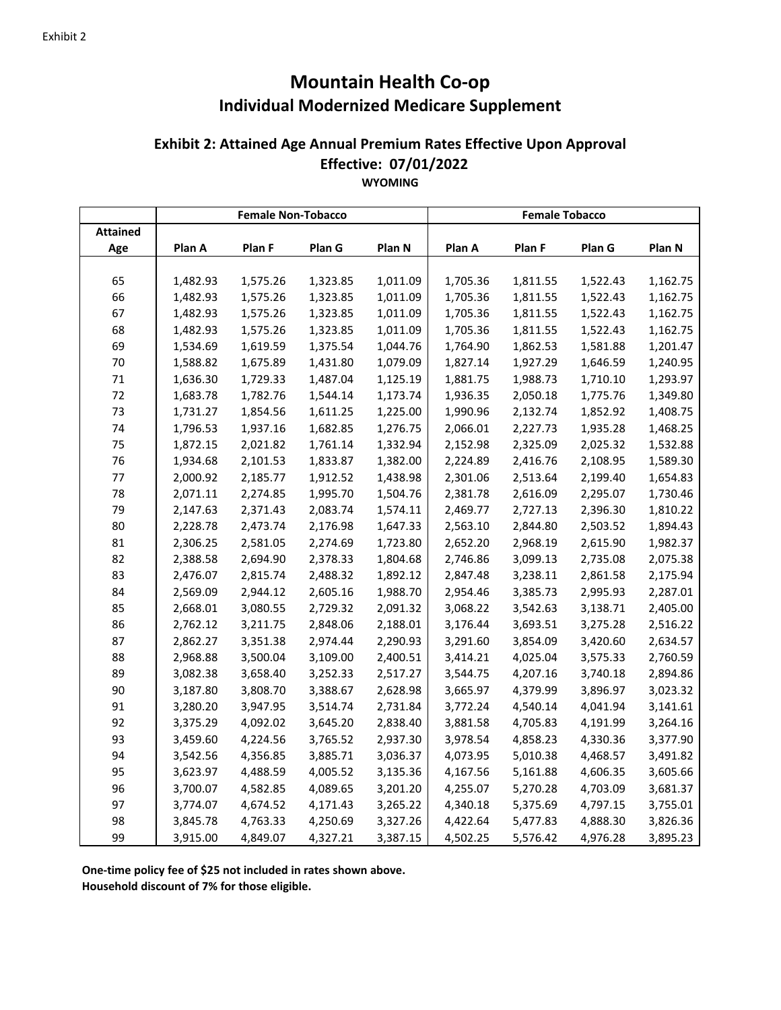## **Mountain Health Co‐op Individual Modernized Medicare Supplement**

## **Effective: 07/01/2022 WYOMING Exhibit 2: Attained Age Annual Premium Rates Effective Upon Approval**

|                 |          | <b>Female Non-Tobacco</b> |          |          | <b>Female Tobacco</b> |          |          |          |
|-----------------|----------|---------------------------|----------|----------|-----------------------|----------|----------|----------|
| <b>Attained</b> |          |                           |          |          |                       |          |          |          |
| Age             | Plan A   | Plan F                    | Plan G   | Plan N   | Plan A                | Plan F   | Plan G   | Plan N   |
|                 |          |                           |          |          |                       |          |          |          |
| 65              | 1,482.93 | 1,575.26                  | 1,323.85 | 1,011.09 | 1,705.36              | 1,811.55 | 1,522.43 | 1,162.75 |
| 66              | 1,482.93 | 1,575.26                  | 1,323.85 | 1,011.09 | 1,705.36              | 1,811.55 | 1,522.43 | 1,162.75 |
| 67              | 1,482.93 | 1,575.26                  | 1,323.85 | 1,011.09 | 1,705.36              | 1,811.55 | 1,522.43 | 1,162.75 |
| 68              | 1,482.93 | 1,575.26                  | 1,323.85 | 1,011.09 | 1,705.36              | 1,811.55 | 1,522.43 | 1,162.75 |
| 69              | 1,534.69 | 1,619.59                  | 1,375.54 | 1,044.76 | 1,764.90              | 1,862.53 | 1,581.88 | 1,201.47 |
| 70              | 1,588.82 | 1,675.89                  | 1,431.80 | 1,079.09 | 1,827.14              | 1,927.29 | 1,646.59 | 1,240.95 |
| 71              | 1,636.30 | 1,729.33                  | 1,487.04 | 1,125.19 | 1,881.75              | 1,988.73 | 1,710.10 | 1,293.97 |
| 72              | 1,683.78 | 1,782.76                  | 1,544.14 | 1,173.74 | 1,936.35              | 2,050.18 | 1,775.76 | 1,349.80 |
| 73              | 1,731.27 | 1,854.56                  | 1,611.25 | 1,225.00 | 1,990.96              | 2,132.74 | 1,852.92 | 1,408.75 |
| 74              | 1,796.53 | 1,937.16                  | 1,682.85 | 1,276.75 | 2,066.01              | 2,227.73 | 1,935.28 | 1,468.25 |
| 75              | 1,872.15 | 2,021.82                  | 1,761.14 | 1,332.94 | 2,152.98              | 2,325.09 | 2,025.32 | 1,532.88 |
| 76              | 1,934.68 | 2,101.53                  | 1,833.87 | 1,382.00 | 2,224.89              | 2,416.76 | 2,108.95 | 1,589.30 |
| 77              | 2,000.92 | 2,185.77                  | 1,912.52 | 1,438.98 | 2,301.06              | 2,513.64 | 2,199.40 | 1,654.83 |
| 78              | 2,071.11 | 2,274.85                  | 1,995.70 | 1,504.76 | 2,381.78              | 2,616.09 | 2,295.07 | 1,730.46 |
| 79              | 2,147.63 | 2,371.43                  | 2,083.74 | 1,574.11 | 2,469.77              | 2,727.13 | 2,396.30 | 1,810.22 |
| 80              | 2,228.78 | 2,473.74                  | 2,176.98 | 1,647.33 | 2,563.10              | 2,844.80 | 2,503.52 | 1,894.43 |
| 81              | 2,306.25 | 2,581.05                  | 2,274.69 | 1,723.80 | 2,652.20              | 2,968.19 | 2,615.90 | 1,982.37 |
| 82              | 2,388.58 | 2,694.90                  | 2,378.33 | 1,804.68 | 2,746.86              | 3,099.13 | 2,735.08 | 2,075.38 |
| 83              | 2,476.07 | 2,815.74                  | 2,488.32 | 1,892.12 | 2,847.48              | 3,238.11 | 2,861.58 | 2,175.94 |
| 84              | 2,569.09 | 2,944.12                  | 2,605.16 | 1,988.70 | 2,954.46              | 3,385.73 | 2,995.93 | 2,287.01 |
| 85              | 2,668.01 | 3,080.55                  | 2,729.32 | 2,091.32 | 3,068.22              | 3,542.63 | 3,138.71 | 2,405.00 |
| 86              | 2,762.12 | 3,211.75                  | 2,848.06 | 2,188.01 | 3,176.44              | 3,693.51 | 3,275.28 | 2,516.22 |
| 87              | 2,862.27 | 3,351.38                  | 2,974.44 | 2,290.93 | 3,291.60              | 3,854.09 | 3,420.60 | 2,634.57 |
| 88              | 2,968.88 | 3,500.04                  | 3,109.00 | 2,400.51 | 3,414.21              | 4,025.04 | 3,575.33 | 2,760.59 |
| 89              | 3,082.38 | 3,658.40                  | 3,252.33 | 2,517.27 | 3,544.75              | 4,207.16 | 3,740.18 | 2,894.86 |
| 90              | 3,187.80 | 3,808.70                  | 3,388.67 | 2,628.98 | 3,665.97              | 4,379.99 | 3,896.97 | 3,023.32 |
| 91              | 3,280.20 | 3,947.95                  | 3,514.74 | 2,731.84 | 3,772.24              | 4,540.14 | 4,041.94 | 3,141.61 |
| 92              | 3,375.29 | 4,092.02                  | 3,645.20 | 2,838.40 | 3,881.58              | 4,705.83 | 4,191.99 | 3,264.16 |
| 93              | 3,459.60 | 4,224.56                  | 3,765.52 | 2,937.30 | 3,978.54              | 4,858.23 | 4,330.36 | 3,377.90 |
| 94              | 3,542.56 | 4,356.85                  | 3,885.71 | 3,036.37 | 4,073.95              | 5,010.38 | 4,468.57 | 3,491.82 |
| 95              | 3,623.97 | 4,488.59                  | 4,005.52 | 3,135.36 | 4,167.56              | 5,161.88 | 4,606.35 | 3,605.66 |
| 96              | 3,700.07 | 4,582.85                  | 4,089.65 | 3,201.20 | 4,255.07              | 5,270.28 | 4,703.09 | 3,681.37 |
| 97              | 3,774.07 | 4,674.52                  | 4,171.43 | 3,265.22 | 4,340.18              | 5,375.69 | 4,797.15 | 3,755.01 |
| 98              | 3,845.78 | 4,763.33                  | 4,250.69 | 3,327.26 | 4,422.64              | 5,477.83 | 4,888.30 | 3,826.36 |
| 99              | 3,915.00 | 4,849.07                  | 4,327.21 | 3,387.15 | 4,502.25              | 5,576.42 | 4,976.28 | 3,895.23 |

**One‐time policy fee of \$25 not included in rates shown above.**

**Household discount of 7% for those eligible.**